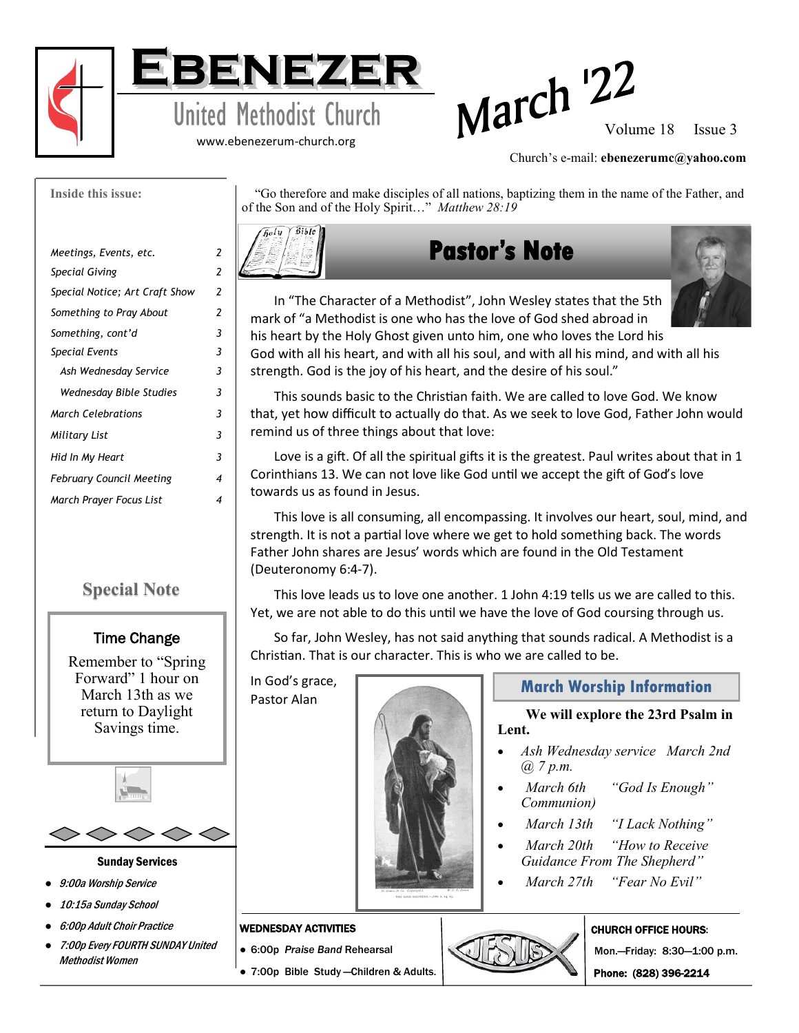



www.ebenezerum-church.org



#### Church's e-mail: **ebenezerumc@yahoo.com**

| Inside this issue: |  |  |
|--------------------|--|--|
|--------------------|--|--|

| Meetings, Events, etc.          |   |
|---------------------------------|---|
| Special Giving                  |   |
| Special Notice; Art Craft Show  |   |
| Something to Pray About         |   |
| Something, cont'd               |   |
| <b>Special Events</b>           |   |
| Ash Wednesday Service           | 3 |
| Wednesday Bible Studies         | 3 |
| <b>March Celebrations</b>       |   |
| <b>Military List</b>            |   |
| Hid In My Heart                 |   |
| <b>February Council Meeting</b> |   |
| March Prayer Focus List         |   |
|                                 |   |

### **Special Note**

### Time Change

Remember to "Spring Forward" 1 hour on March 13th as we return to Daylight Savings time.



### Sunday Services

- 9:00a Worship Service
- 10:15a Sunday School
- 6:00p Adult Choir Practice
- 7:00p Every FOURTH SUNDAY United Methodist Women

 "Go therefore and make disciples of all nations, baptizing them in the name of the Father, and of the Son and of the Holy Spirit…" *Matthew 28:19*



# **Pastor's Note**



In "The Character of a Methodist", John Wesley states that the 5th mark of "a Methodist is one who has the love of God shed abroad in his heart by the Holy Ghost given unto him, one who loves the Lord his

God with all his heart, and with all his soul, and with all his mind, and with all his strength. God is the joy of his heart, and the desire of his soul."

This sounds basic to the Christian faith. We are called to love God. We know that, yet how difficult to actually do that. As we seek to love God, Father John would remind us of three things about that love:

Love is a gift. Of all the spiritual gifts it is the greatest. Paul writes about that in 1 Corinthians 13. We can not love like God until we accept the gift of God's love towards us as found in Jesus.

This love is all consuming, all encompassing. It involves our heart, soul, mind, and strength. It is not a partial love where we get to hold something back. The words Father John shares are Jesus' words which are found in the Old Testament (Deuteronomy 6:4-7).

This love leads us to love one another. 1 John 4:19 tells us we are called to this. Yet, we are not able to do this until we have the love of God coursing through us.

So far, John Wesley, has not said anything that sounds radical. A Methodist is a Christian. That is our character. This is who we are called to be.

In God's grace, Pastor Alan



### **March Worship Information**

### **We will explore the 23rd Psalm in Lent.**

- *Ash Wednesday service March 2nd @ 7 p.m.*
- *March 6th "God Is Enough" Communion)*
- *March 13th "I Lack Nothing"*
- *March 20th "How to Receive Guidance From The Shepherd"*
- *March 27th "Fear No Evil"*



### CHURCH OFFICE HOURS:

Mon.—Friday: 8:30—1:00 p.m.

Phone: (828) 396-2214

### WEDNESDAY ACTIVITIES

- 6:00p *Praise Band* Rehearsal
- 7:00p Bible Study —Children & Adults.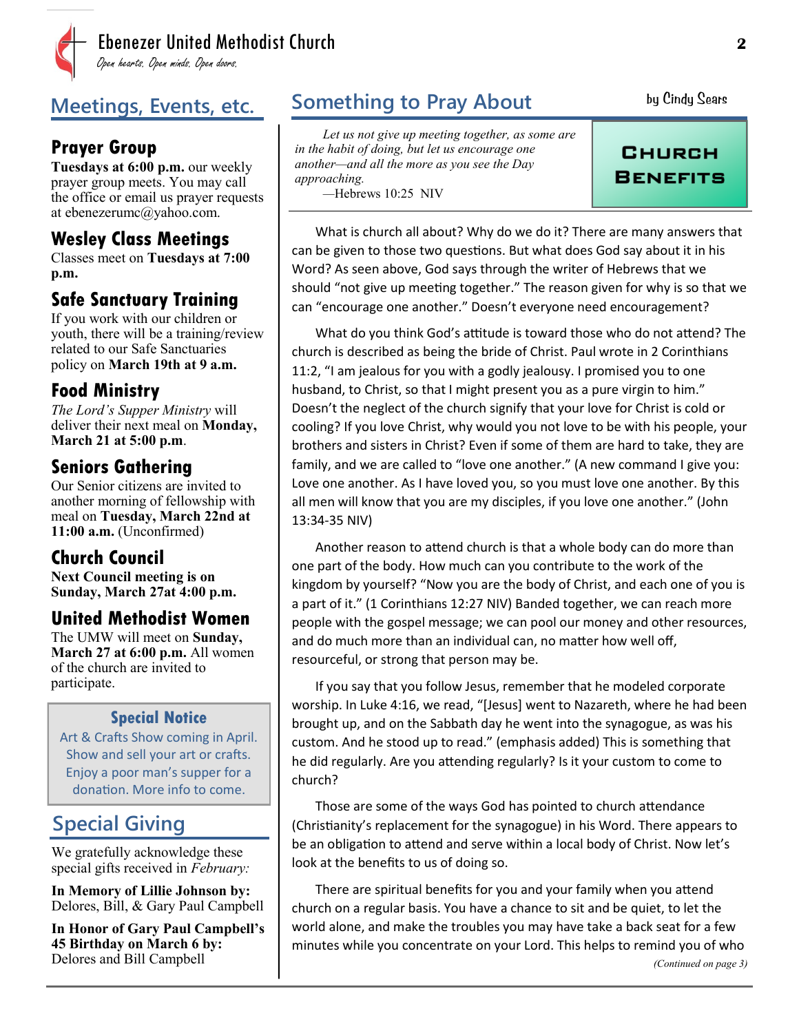

# **Prayer Group**

**Tuesdays at 6:00 p.m.** our weekly prayer group meets. You may call the office or email us prayer requests at ebenezerumc@yahoo.com.

# **Wesley Class Meetings**

Classes meet on **Tuesdays at 7:00 p.m.**

# **Safe Sanctuary Training**

If you work with our children or youth, there will be a training/review related to our Safe Sanctuaries policy on **March 19th at 9 a.m.**

# **Food Ministry**

*The Lord's Supper Ministry* will deliver their next meal on **Monday, March 21 at 5:00 p.m**.

# **Seniors Gathering**

Our Senior citizens are invited to another morning of fellowship with meal on **Tuesday, March 22nd at 11:00 a.m.** (Unconfirmed)

# **Church Council**

**Next Council meeting is on Sunday, March 27at 4:00 p.m.** 

## **United Methodist Women**

The UMW will meet on **Sunday, March 27 at 6:00 p.m.** All women of the church are invited to participate.

### **Special Notice**

Art & Crafts Show coming in April. Show and sell your art or crafts. Enjoy a poor man's supper for a donation. More info to come.

# **Special Giving**

We gratefully acknowledge these special gifts received in *February:*

**In Memory of Lillie Johnson by:** Delores, Bill, & Gary Paul Campbell

**In Honor of Gary Paul Campbell's 45 Birthday on March 6 by:** Delores and Bill Campbell

# **Meetings, Events, etc.** Something to Pray About by Cindy Sears

*Let us not give up meeting together, as some are in the habit of doing, but let us encourage one another—and all the more as you see the Day approaching.* 

*—*Hebrews 10:25 NIV

CHURCH **BENEFITS** 

What is church all about? Why do we do it? There are many answers that can be given to those two questions. But what does God say about it in his Word? As seen above, God says through the writer of Hebrews that we should "not give up meeting together." The reason given for why is so that we can "encourage one another." Doesn't everyone need encouragement?

What do you think God's attitude is toward those who do not attend? The church is described as being the bride of Christ. Paul wrote in 2 Corinthians 11:2, "I am jealous for you with a godly jealousy. I promised you to one husband, to Christ, so that I might present you as a pure virgin to him." Doesn't the neglect of the church signify that your love for Christ is cold or cooling? If you love Christ, why would you not love to be with his people, your brothers and sisters in Christ? Even if some of them are hard to take, they are family, and we are called to "love one another." (A new command I give you: Love one another. As I have loved you, so you must love one another. By this all men will know that you are my disciples, if you love one another." (John 13:34-35 NIV)

Another reason to attend church is that a whole body can do more than one part of the body. How much can you contribute to the work of the kingdom by yourself? "Now you are the body of Christ, and each one of you is a part of it." (1 Corinthians 12:27 NIV) Banded together, we can reach more people with the gospel message; we can pool our money and other resources, and do much more than an individual can, no matter how well off, resourceful, or strong that person may be.

If you say that you follow Jesus, remember that he modeled corporate worship. In Luke 4:16, we read, "[Jesus] went to Nazareth, where he had been brought up, and on the Sabbath day he went into the synagogue, as was his custom. And he stood up to read." (emphasis added) This is something that he did regularly. Are you attending regularly? Is it your custom to come to church?

Those are some of the ways God has pointed to church attendance (Christianity's replacement for the synagogue) in his Word. There appears to be an obligation to attend and serve within a local body of Christ. Now let's look at the benefits to us of doing so.

There are spiritual benefits for you and your family when you attend church on a regular basis. You have a chance to sit and be quiet, to let the world alone, and make the troubles you may have take a back seat for a few minutes while you concentrate on your Lord. This helps to remind you of who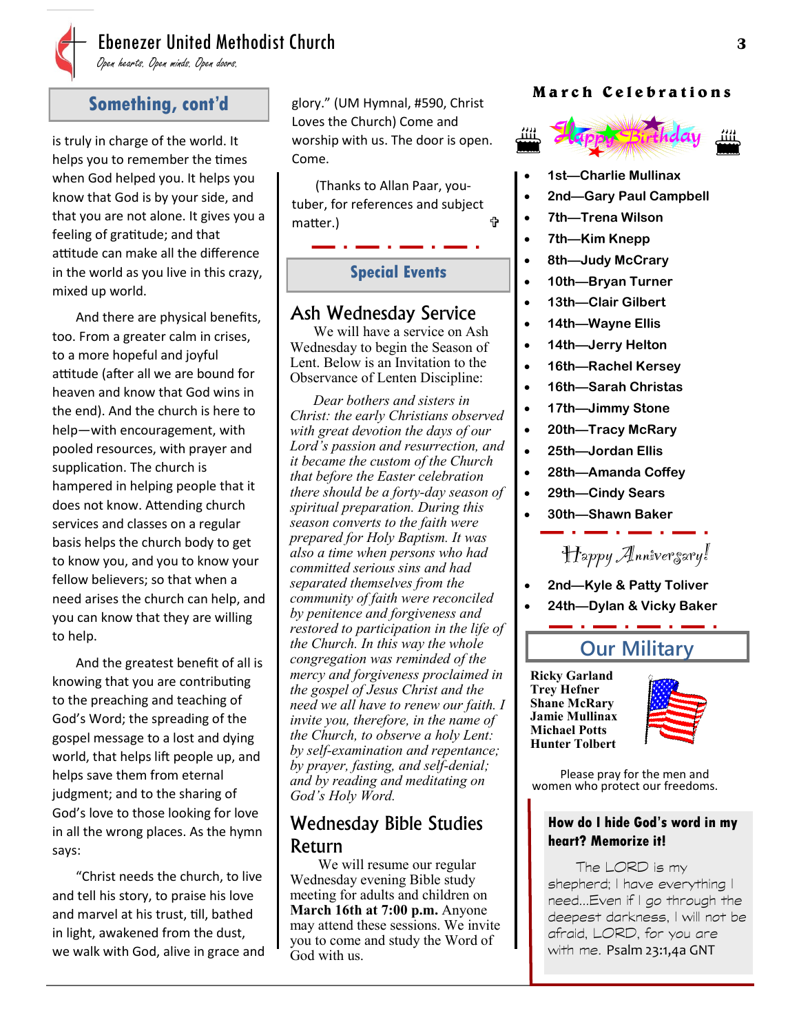

# Ebenezer United Methodist Church **<sup>3</sup>**

Open hearts. Open minds. Open doors.

# **Something, cont'd**

is truly in charge of the world. It helps you to remember the times when God helped you. It helps you know that God is by your side, and that you are not alone. It gives you a feeling of gratitude; and that attitude can make all the difference in the world as you live in this crazy, mixed up world.

And there are physical benefits, too. From a greater calm in crises, to a more hopeful and joyful attitude (after all we are bound for heaven and know that God wins in the end). And the church is here to help—with encouragement, with pooled resources, with prayer and supplication. The church is hampered in helping people that it does not know. Attending church services and classes on a regular basis helps the church body to get to know you, and you to know your fellow believers; so that when a need arises the church can help, and you can know that they are willing to help.

And the greatest benefit of all is knowing that you are contributing to the preaching and teaching of God's Word; the spreading of the gospel message to a lost and dying world, that helps lift people up, and helps save them from eternal judgment; and to the sharing of God's love to those looking for love in all the wrong places. As the hymn says:

"Christ needs the church, to live and tell his story, to praise his love and marvel at his trust, till, bathed in light, awakened from the dust, we walk with God, alive in grace and

glory." (UM Hymnal, #590, Christ Loves the Church) Come and worship with us. The door is open. Come.

(Thanks to Allan Paar, youtuber, for references and subject matter.)

### **Special Events**

### Ash Wednesday Service

We will have a service on Ash Wednesday to begin the Season of Lent. Below is an Invitation to the Observance of Lenten Discipline:

*Dear bothers and sisters in Christ: the early Christians observed with great devotion the days of our Lord's passion and resurrection, and it became the custom of the Church that before the Easter celebration there should be a forty-day season of spiritual preparation. During this season converts to the faith were prepared for Holy Baptism. It was also a time when persons who had committed serious sins and had separated themselves from the community of faith were reconciled by penitence and forgiveness and restored to participation in the life of the Church. In this way the whole congregation was reminded of the mercy and forgiveness proclaimed in the gospel of Jesus Christ and the need we all have to renew our faith. I invite you, therefore, in the name of the Church, to observe a holy Lent: by self-examination and repentance; by prayer, fasting, and self-denial; and by reading and meditating on God's Holy Word.*

# Wednesday Bible Studies Return

We will resume our regular Wednesday evening Bible study meeting for adults and children on **March 16th at 7:00 p.m.** Anyone may attend these sessions. We invite you to come and study the Word of God with us.

### **M a r c h C e l e b r a t i o n s**



- **1st—Charlie Mullinax**
- **2nd—Gary Paul Campbell**
- **7th—Trena Wilson**
- **7th—Kim Knepp**
- **8th—Judy McCrary**
- **10th—Bryan Turner**
- **13th—Clair Gilbert**
- **14th—Wayne Ellis**
- **14th—Jerry Helton**
- **16th—Rachel Kersey**
- **16th—Sarah Christas**
- **17th—Jimmy Stone**
- **20th—Tracy McRary**
- **25th—Jordan Ellis**
- **28th—Amanda Coffey**
- **29th—Cindy Sears**
- **30th—Shawn Baker**

 $\bigoplus$ appy  $\mathcal{A}$ nniver $\mathcal{S}$ ary $\mathcal{I}$ 

- **2nd—Kyle & Patty Toliver**
- **24th—Dylan & Vicky Baker**

### **Our Military**

**Ricky Garland Trey Hefner Shane McRary Jamie Mullinax Michael Potts Hunter Tolbert**



Please pray for the men and women who protect our freedoms.

### **How do I hide God's word in my heart? Memorize it!**

The LORD is my shepherd; I have everything I need...Even if I go through the deepest darkness, I will not be afraid, LORD, for you are with me. Psalm 23:1,4a GNT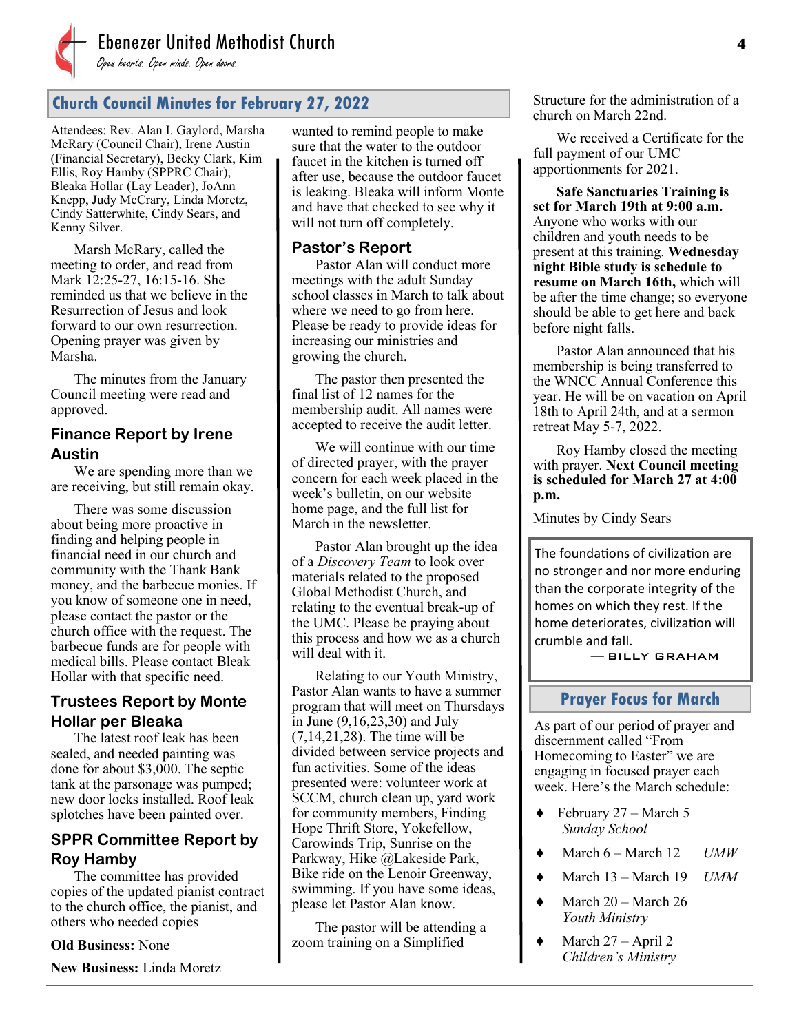

### **Church Council Minutes for February 27, 2022**

Attendees: Rev. Alan I. Gaylord, Marsha McRary (Council Chair), Irene Austin (Financial Secretary), Becky Clark, Kim Ellis, Roy Hamby (SPPRC Chair), Bleaka Hollar (Lay Leader), JoAnn Knepp, Judy McCrary, Linda Moretz, Cindy Satterwhite, Cindy Sears, and Kenny Silver.

Marsh McRary, called the meeting to order, and read from Mark 12:25-27, 16:15-16. She reminded us that we believe in the Resurrection of Jesus and look forward to our own resurrection. Opening prayer was given by Marsha.

The minutes from the January Council meeting were read and approved.

### **Finance Report by Irene Austin**

We are spending more than we are receiving, but still remain okay.

There was some discussion about being more proactive in finding and helping people in financial need in our church and community with the Thank Bank money, and the barbecue monies. If you know of someone one in need, please contact the pastor or the church office with the request. The barbecue funds are for people with medical bills. Please contact Bleak Hollar with that specific need.

### **Trustees Report by Monte Hollar per Bleaka**

The latest roof leak has been sealed, and needed painting was done for about \$3,000. The septic tank at the parsonage was pumped; new door locks installed. Roof leak splotches have been painted over.

### **SPPR Committee Report by Roy Hamby**

The committee has provided copies of the updated pianist contract to the church office, the pianist, and others who needed copies

### **Old Business:** None

**New Business:** Linda Moretz

wanted to remind people to make sure that the water to the outdoor faucet in the kitchen is turned off after use, because the outdoor faucet is leaking. Bleaka will inform Monte and have that checked to see why it will not turn off completely.

### **Pastor's Report**

Pastor Alan will conduct more meetings with the adult Sunday school classes in March to talk about where we need to go from here. Please be ready to provide ideas for increasing our ministries and growing the church.

The pastor then presented the final list of 12 names for the membership audit. All names were accepted to receive the audit letter.

We will continue with our time of directed prayer, with the prayer concern for each week placed in the week's bulletin, on our website home page, and the full list for March in the newsletter.

Pastor Alan brought up the idea of a *Discovery Team* to look over materials related to the proposed Global Methodist Church, and relating to the eventual break-up of the UMC. Please be praying about this process and how we as a church will deal with it.

Relating to our Youth Ministry, Pastor Alan wants to have a summer program that will meet on Thursdays in June (9,16,23,30) and July (7,14,21,28). The time will be divided between service projects and fun activities. Some of the ideas presented were: volunteer work at SCCM, church clean up, yard work for community members, Finding Hope Thrift Store, Yokefellow, Carowinds Trip, Sunrise on the Parkway, Hike @Lakeside Park, Bike ride on the Lenoir Greenway, swimming. If you have some ideas, please let Pastor Alan know.

The pastor will be attending a zoom training on a Simplified

Structure for the administration of a church on March 22nd.

We received a Certificate for the full payment of our UMC apportionments for 2021.

**Safe Sanctuaries Training is set for March 19th at 9:00 a.m.**  Anyone who works with our children and youth needs to be present at this training. **Wednesday night Bible study is schedule to resume on March 16th,** which will be after the time change; so everyone should be able to get here and back before night falls.

Pastor Alan announced that his membership is being transferred to the WNCC Annual Conference this year. He will be on vacation on April 18th to April 24th, and at a sermon retreat May 5-7, 2022.

Roy Hamby closed the meeting with prayer. **Next Council meeting is scheduled for March 27 at 4:00 p.m.**

Minutes by Cindy Sears

The foundations of civilization are no stronger and nor more enduring than the corporate integrity of the homes on which they rest. If the home deteriorates, civilization will crumble and fall.

— BILLY GRAHAM

### **Prayer Focus for March**

As part of our period of prayer and discernment called "From Homecoming to Easter" we are engaging in focused prayer each week. Here's the March schedule:

- $\blacklozenge$  February 27 March 5 *Sunday School*
- March 6 March 12 *UMW*
- March 13 March 19 *UMM*
- $\blacklozenge$  March 20 March 26 *Youth Ministry*
- March 27 April 2 *Children's Ministry*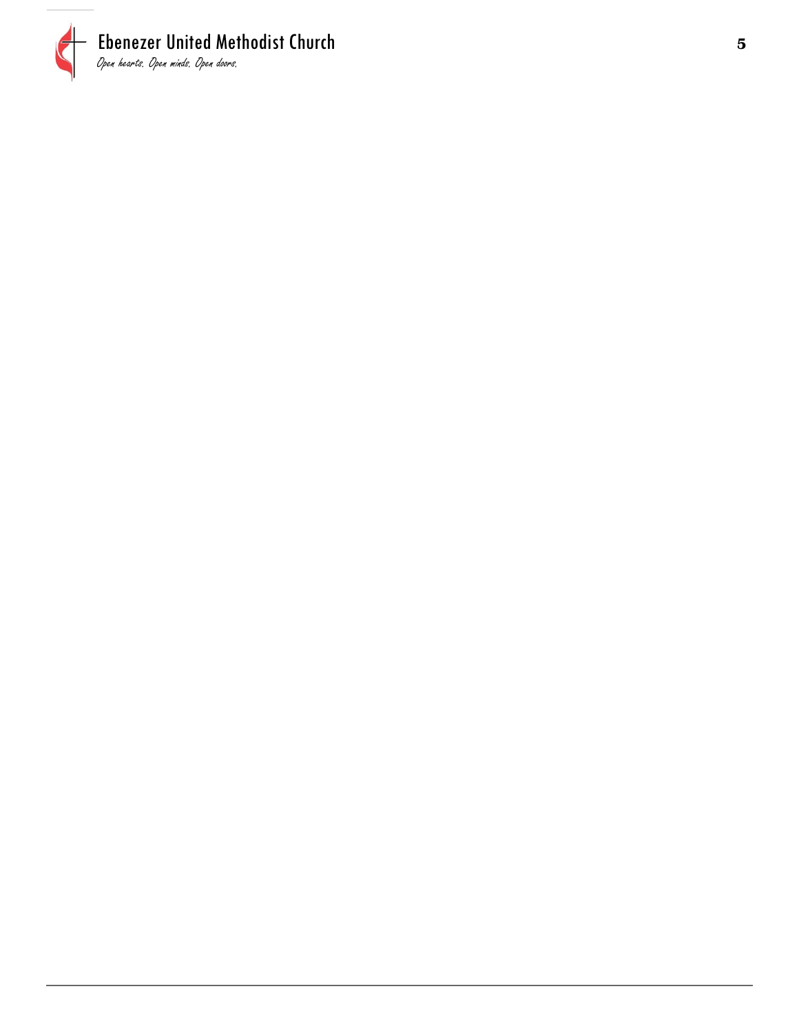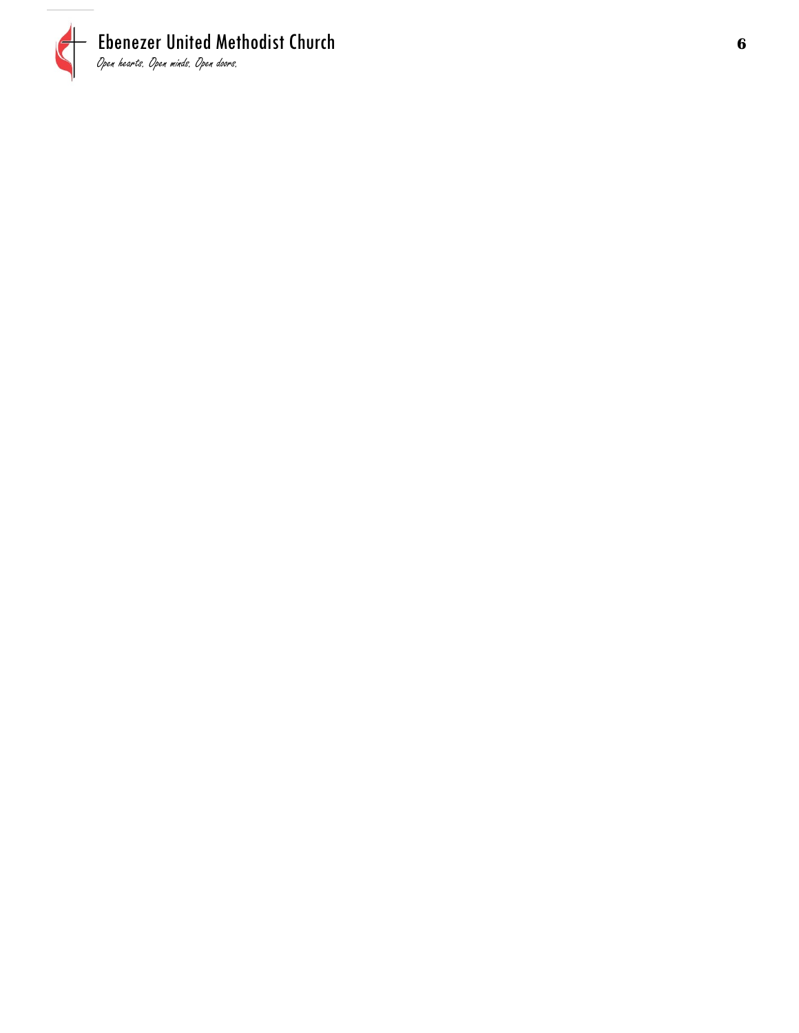